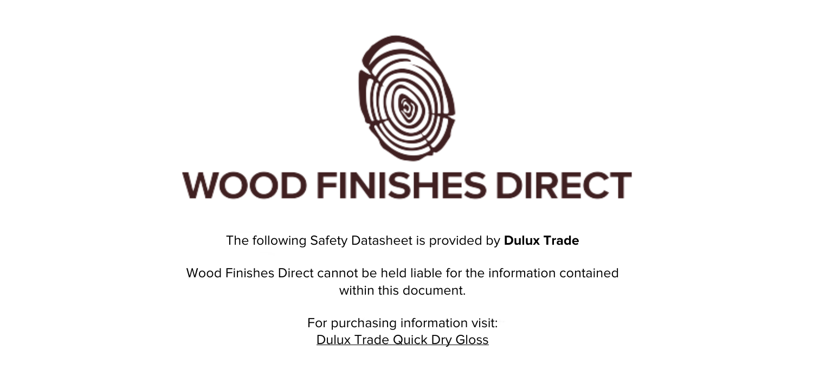

The following Safety Datasheet is provided by **Dulux Trade**

Wood Finishes Direct cannot be held liable for the information contained within this document

> For purchasing information visit: [Dulux Trade Quick Dry Gloss](https://www.wood-finishes-direct.com/product/dulux-trade-quick-dry-gloss)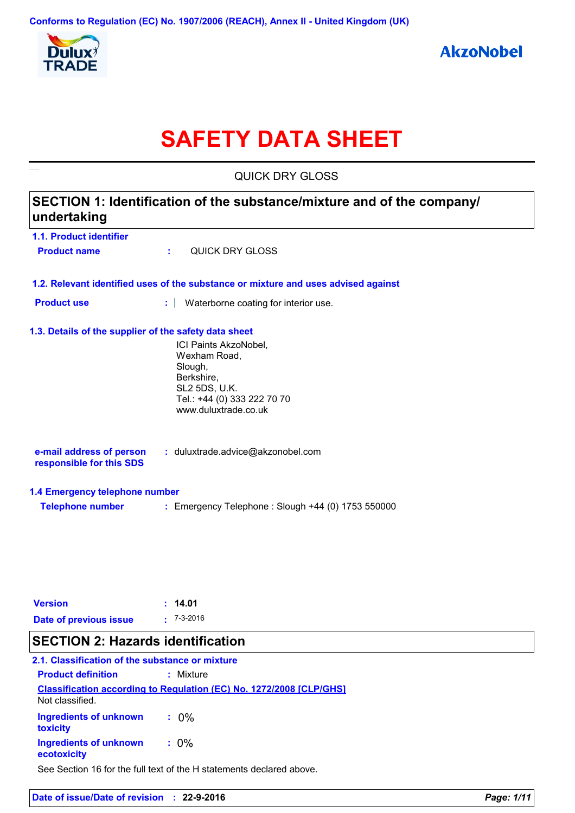

# **SAFETY DATA SHEET**

QUICK DRY GLOSS SECTION 1: Identification of the substance/mixture and of the company/ undertaking 1.1. Product identifier **OUICK DRY GLOSS Product name** × 1.2. Relevant identified uses of the substance or mixture and uses advised against **Product use** : Waterborne coating for interior use. 1.3. Details of the supplier of the safety data sheet ICI Paints AkzoNobel. Wexham Road, Slough, Berkshire, **SL2 5DS, U.K.** Tel.: +44 (0) 333 222 70 70 www.duluxtrade.co.uk e-mail address of person : duluxtrade.advice@akzonobel.com responsible for this SDS 1.4 Emergency telephone number **Telephone number** : Emergency Telephone : Slough +44 (0) 1753 550000 **Version**  $: 14.01$ 

# **SECTION 2: Hazards identification**

**Date of previous issue** 

#### 2.1. Classification of the substance or mixture **Product definition** : Mixture

| <b>Classification according to Regulation (EC) No. 1272/2008 [CLP/GHS]</b> |         |  |  |  |
|----------------------------------------------------------------------------|---------|--|--|--|
| Not classified.                                                            |         |  |  |  |
| <b>Ingredients of unknown</b><br>toxicity                                  | $.0\%$  |  |  |  |
| Ingredients of unknown<br>ecotoxicity                                      | $: 0\%$ |  |  |  |

 $: 7 - 3 - 2016$ 

See Section 16 for the full text of the H statements declared above.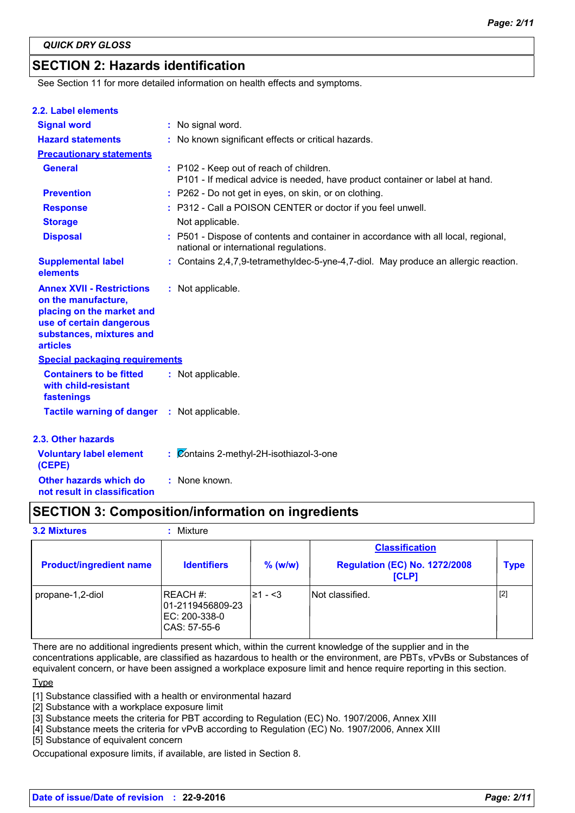# **SECTION 2: Hazards identification**

See Section 11 for more detailed information on health effects and symptoms.

| 2.2. Label elements                                                                                                                                             |                                                                                                                              |
|-----------------------------------------------------------------------------------------------------------------------------------------------------------------|------------------------------------------------------------------------------------------------------------------------------|
| <b>Signal word</b>                                                                                                                                              | : No signal word.                                                                                                            |
| <b>Hazard statements</b>                                                                                                                                        | : No known significant effects or critical hazards.                                                                          |
| <b>Precautionary statements</b>                                                                                                                                 |                                                                                                                              |
| <b>General</b>                                                                                                                                                  | : P102 - Keep out of reach of children.<br>P101 - If medical advice is needed, have product container or label at hand.      |
| <b>Prevention</b>                                                                                                                                               | : P262 - Do not get in eyes, on skin, or on clothing.                                                                        |
| <b>Response</b>                                                                                                                                                 | : P312 - Call a POISON CENTER or doctor if you feel unwell.                                                                  |
| <b>Storage</b>                                                                                                                                                  | Not applicable.                                                                                                              |
| <b>Disposal</b>                                                                                                                                                 | : P501 - Dispose of contents and container in accordance with all local, regional,<br>national or international regulations. |
| <b>Supplemental label</b><br>elements                                                                                                                           | : Contains 2,4,7,9-tetramethyldec-5-yne-4,7-diol. May produce an allergic reaction.                                          |
| <b>Annex XVII - Restrictions</b><br>on the manufacture,<br>placing on the market and<br>use of certain dangerous<br>substances, mixtures and<br><b>articles</b> | : Not applicable.                                                                                                            |
| <b>Special packaging requirements</b>                                                                                                                           |                                                                                                                              |
| <b>Containers to be fitted</b><br>with child-resistant<br>fastenings                                                                                            | : Not applicable.                                                                                                            |
| <b>Tactile warning of danger : Not applicable.</b>                                                                                                              |                                                                                                                              |
| 2.3. Other hazards                                                                                                                                              |                                                                                                                              |
| <b>Voluntary label element</b><br>(CEPE)                                                                                                                        | : Contains 2-methyl-2H-isothiazol-3-one                                                                                      |
| Other hazards which do                                                                                                                                          | : None known.                                                                                                                |

not result in classification

# **SECTION 3: Composition/information on ingredients**

**3.2 Mixtures** 

#### : Mixture

| <b>Product/ingredient name</b> | <b>Identifiers</b>                                            | $%$ (w/w) | <b>Classification</b><br><b>Regulation (EC) No. 1272/2008</b><br>[CLP] | <b>Type</b> |
|--------------------------------|---------------------------------------------------------------|-----------|------------------------------------------------------------------------|-------------|
| propane-1,2-diol               | REACH #:<br>01-2119456809-23<br>EC: 200-338-0<br>CAS: 57-55-6 | l≥1 - <3  | INot classified.                                                       | [2]         |

There are no additional ingredients present which, within the current knowledge of the supplier and in the concentrations applicable, are classified as hazardous to health or the environment, are PBTs, vPvBs or Substances of equivalent concern, or have been assigned a workplace exposure limit and hence require reporting in this section.

Type

[1] Substance classified with a health or environmental hazard

[2] Substance with a workplace exposure limit

[3] Substance meets the criteria for PBT according to Regulation (EC) No. 1907/2006, Annex XIII

[4] Substance meets the criteria for vPvB according to Regulation (EC) No. 1907/2006, Annex XIII

[5] Substance of equivalent concern

Occupational exposure limits, if available, are listed in Section 8.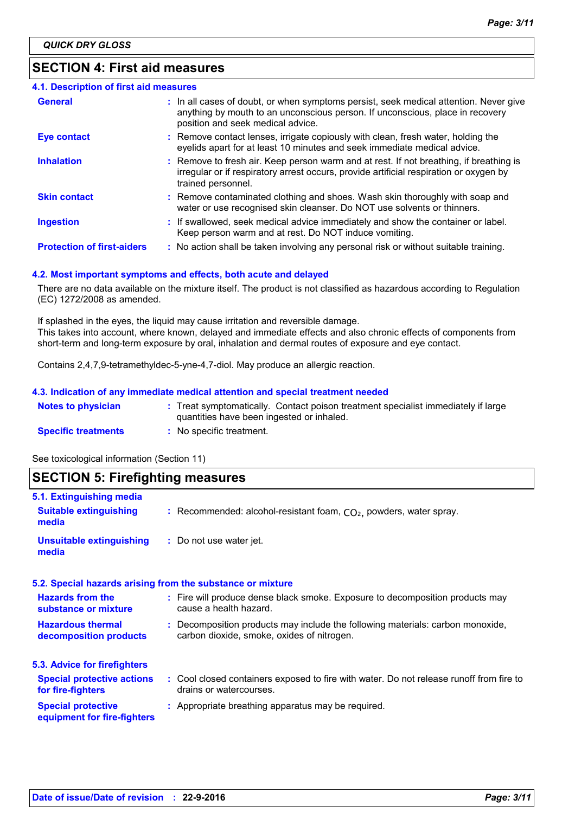# **SECTION 4: First aid measures**

| 4.1. Description of first aid measures |                                                                                                                                                                                                             |
|----------------------------------------|-------------------------------------------------------------------------------------------------------------------------------------------------------------------------------------------------------------|
| <b>General</b>                         | : In all cases of doubt, or when symptoms persist, seek medical attention. Never give<br>anything by mouth to an unconscious person. If unconscious, place in recovery<br>position and seek medical advice. |
| <b>Eye contact</b>                     | : Remove contact lenses, irrigate copiously with clean, fresh water, holding the<br>eyelids apart for at least 10 minutes and seek immediate medical advice.                                                |
| <b>Inhalation</b>                      | : Remove to fresh air. Keep person warm and at rest. If not breathing, if breathing is<br>irregular or if respiratory arrest occurs, provide artificial respiration or oxygen by<br>trained personnel.      |
| <b>Skin contact</b>                    | : Remove contaminated clothing and shoes. Wash skin thoroughly with soap and<br>water or use recognised skin cleanser. Do NOT use solvents or thinners.                                                     |
| <b>Ingestion</b>                       | : If swallowed, seek medical advice immediately and show the container or label.<br>Keep person warm and at rest. Do NOT induce vomiting.                                                                   |
| <b>Protection of first-aiders</b>      | : No action shall be taken involving any personal risk or without suitable training.                                                                                                                        |

#### 4.2. Most important symptoms and effects, both acute and delayed

There are no data available on the mixture itself. The product is not classified as hazardous according to Regulation (EC) 1272/2008 as amended.

If splashed in the eyes, the liquid may cause irritation and reversible damage. This takes into account, where known, delayed and immediate effects and also chronic effects of components from short-term and long-term exposure by oral, inhalation and dermal routes of exposure and eye contact.

Contains 2,4,7,9-tetramethyldec-5-yne-4,7-diol. May produce an allergic reaction.

#### 4.3. Indication of any immediate medical attention and special treatment needed

| <b>Notes to physician</b>  | : Treat symptomatically. Contact poison treatment specialist immediately if large<br>quantities have been ingested or inhaled. |
|----------------------------|--------------------------------------------------------------------------------------------------------------------------------|
| <b>Specific treatments</b> | : No specific treatment.                                                                                                       |

See toxicological information (Section 11)

# **SECTION 5: Firefighting measures**

| 5.1. Extinguishing media                                   |                                                                                                                              |
|------------------------------------------------------------|------------------------------------------------------------------------------------------------------------------------------|
| <b>Suitable extinguishing</b><br>media                     | : Recommended: alcohol-resistant foam, $CO2$ , powders, water spray.                                                         |
| Unsuitable extinguishing<br>media                          | : Do not use water jet.                                                                                                      |
| 5.2. Special hazards arising from the substance or mixture |                                                                                                                              |
| <b>Hazards from the</b><br>substance or mixture            | : Fire will produce dense black smoke. Exposure to decomposition products may<br>cause a health hazard.                      |
| <b>Hazardous thermal</b><br>decomposition products         | : Decomposition products may include the following materials: carbon monoxide,<br>carbon dioxide, smoke, oxides of nitrogen. |
| 5.3. Advice for firefighters                               |                                                                                                                              |
| <b>Special protective actions</b><br>for fire-fighters     | : Cool closed containers exposed to fire with water. Do not release runoff from fire to<br>drains or watercourses.           |
| <b>Special protective</b><br>equipment for fire-fighters   | : Appropriate breathing apparatus may be required.                                                                           |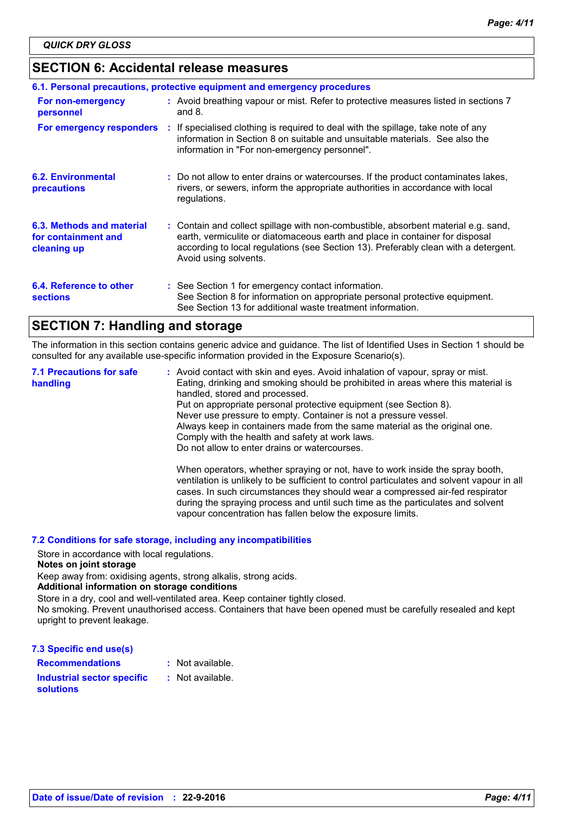# **SECTION 6: Accidental release measures**

| 6.1. Personal precautions, protective equipment and emergency procedures |  |                                                                                                                                                                                                                                                                                    |  |  |  |
|--------------------------------------------------------------------------|--|------------------------------------------------------------------------------------------------------------------------------------------------------------------------------------------------------------------------------------------------------------------------------------|--|--|--|
| For non-emergency<br>personnel                                           |  | : Avoid breathing vapour or mist. Refer to protective measures listed in sections 7<br>and $8.$                                                                                                                                                                                    |  |  |  |
| For emergency responders                                                 |  | : If specialised clothing is required to deal with the spillage, take note of any<br>information in Section 8 on suitable and unsuitable materials. See also the<br>information in "For non-emergency personnel".                                                                  |  |  |  |
| <b>6.2. Environmental</b><br>precautions                                 |  | : Do not allow to enter drains or watercourses. If the product contaminates lakes,<br>rivers, or sewers, inform the appropriate authorities in accordance with local<br>regulations.                                                                                               |  |  |  |
| 6.3. Methods and material<br>for containment and<br>cleaning up          |  | : Contain and collect spillage with non-combustible, absorbent material e.g. sand,<br>earth, vermiculite or diatomaceous earth and place in container for disposal<br>according to local regulations (see Section 13). Preferably clean with a detergent.<br>Avoid using solvents. |  |  |  |
| 6.4. Reference to other<br><b>sections</b>                               |  | : See Section 1 for emergency contact information.<br>See Section 8 for information on appropriate personal protective equipment.<br>See Section 13 for additional waste treatment information.                                                                                    |  |  |  |

# **SECTION 7: Handling and storage**

The information in this section contains generic advice and quidance. The list of Identified Uses in Section 1 should be consulted for any available use-specific information provided in the Exposure Scenario(s).

**7.1 Precautions for safe** : Avoid contact with skin and eyes. Avoid inhalation of vapour, spray or mist. handling Eating, drinking and smoking should be prohibited in areas where this material is handled, stored and processed. Put on appropriate personal protective equipment (see Section 8). Never use pressure to empty. Container is not a pressure vessel. Always keep in containers made from the same material as the original one. Comply with the health and safety at work laws. Do not allow to enter drains or watercourses. When operators, whether spraying or not, have to work inside the spray booth, ventilation is unlikely to be sufficient to control particulates and solvent vapour in all cases. In such circumstances they should wear a compressed air-fed respirator during the spraying process and until such time as the particulates and solvent

vapour concentration has fallen below the exposure limits.

#### 7.2 Conditions for safe storage, including any incompatibilities

Store in accordance with local regulations.

#### Notes on joint storage

Keep away from: oxidising agents, strong alkalis, strong acids.

#### Additional information on storage conditions

Store in a dry, cool and well-ventilated area. Keep container tightly closed.

No smoking. Prevent unauthorised access. Containers that have been opened must be carefully resealed and kept upright to prevent leakage.

#### 7.3 Specific end use(s)

| <b>Recommendations</b>            | : Not available. |
|-----------------------------------|------------------|
| <b>Industrial sector specific</b> | : Not available. |
| <b>solutions</b>                  |                  |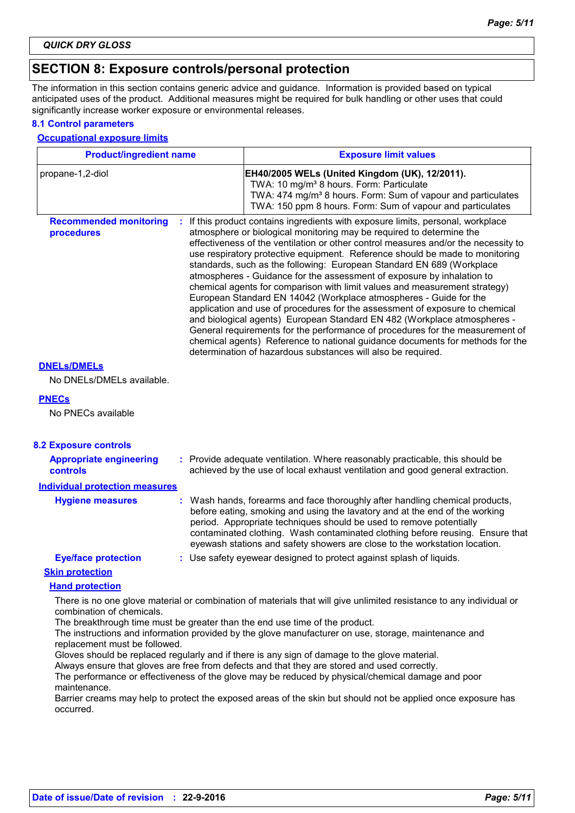### **SECTION 8: Exposure controls/personal protection**

The information in this section contains generic advice and guidance. Information is provided based on typical anticipated uses of the product. Additional measures might be required for bulk handling or other uses that could significantly increase worker exposure or environmental releases.

#### **8.1 Control parameters**

#### **Occupational exposure limits**

| <b>Product/ingredient name</b>              | <b>Exposure limit values</b>                                                                                                                                                                                                                                                                                                                                                                                                                                                                                                                                                                                                                                                                                                                                                                                                                                                                                                                                                                                                       |
|---------------------------------------------|------------------------------------------------------------------------------------------------------------------------------------------------------------------------------------------------------------------------------------------------------------------------------------------------------------------------------------------------------------------------------------------------------------------------------------------------------------------------------------------------------------------------------------------------------------------------------------------------------------------------------------------------------------------------------------------------------------------------------------------------------------------------------------------------------------------------------------------------------------------------------------------------------------------------------------------------------------------------------------------------------------------------------------|
| propane-1,2-diol                            | EH40/2005 WELs (United Kingdom (UK), 12/2011).<br>TWA: 10 mg/m <sup>3</sup> 8 hours. Form: Particulate<br>TWA: 474 mg/m <sup>3</sup> 8 hours. Form: Sum of vapour and particulates<br>TWA: 150 ppm 8 hours. Form: Sum of vapour and particulates                                                                                                                                                                                                                                                                                                                                                                                                                                                                                                                                                                                                                                                                                                                                                                                   |
| <b>Recommended monitoring</b><br>procedures | : If this product contains ingredients with exposure limits, personal, workplace<br>atmosphere or biological monitoring may be required to determine the<br>effectiveness of the ventilation or other control measures and/or the necessity to<br>use respiratory protective equipment. Reference should be made to monitoring<br>standards, such as the following: European Standard EN 689 (Workplace<br>atmospheres - Guidance for the assessment of exposure by inhalation to<br>chemical agents for comparison with limit values and measurement strategy)<br>European Standard EN 14042 (Workplace atmospheres - Guide for the<br>application and use of procedures for the assessment of exposure to chemical<br>and biological agents) European Standard EN 482 (Workplace atmospheres -<br>General requirements for the performance of procedures for the measurement of<br>chemical agents) Reference to national guidance documents for methods for the<br>determination of hazardous substances will also be required. |
| <b>DNELS/DMELS</b>                          |                                                                                                                                                                                                                                                                                                                                                                                                                                                                                                                                                                                                                                                                                                                                                                                                                                                                                                                                                                                                                                    |
| No DNELs/DMELs available.                   |                                                                                                                                                                                                                                                                                                                                                                                                                                                                                                                                                                                                                                                                                                                                                                                                                                                                                                                                                                                                                                    |
| <b>PNECs</b>                                |                                                                                                                                                                                                                                                                                                                                                                                                                                                                                                                                                                                                                                                                                                                                                                                                                                                                                                                                                                                                                                    |
| No PNECs available                          |                                                                                                                                                                                                                                                                                                                                                                                                                                                                                                                                                                                                                                                                                                                                                                                                                                                                                                                                                                                                                                    |
| <b>8.2 Exposure controls</b>                |                                                                                                                                                                                                                                                                                                                                                                                                                                                                                                                                                                                                                                                                                                                                                                                                                                                                                                                                                                                                                                    |
| <b>Appropriate engineering</b><br>controls  | : Provide adequate ventilation. Where reasonably practicable, this should be<br>achieved by the use of local exhaust ventilation and good general extraction.                                                                                                                                                                                                                                                                                                                                                                                                                                                                                                                                                                                                                                                                                                                                                                                                                                                                      |
| <b>Individual protection measures</b>       |                                                                                                                                                                                                                                                                                                                                                                                                                                                                                                                                                                                                                                                                                                                                                                                                                                                                                                                                                                                                                                    |
| <b>Hygiene measures</b>                     | : Wash hands, forearms and face thoroughly after handling chemical products,<br>before eating, smoking and using the lavatory and at the end of the working<br>period. Appropriate techniques should be used to remove potentially<br>contaminated clothing. Wash contaminated clothing before reusing. Ensure that<br>eyewash stations and safety showers are close to the workstation location.                                                                                                                                                                                                                                                                                                                                                                                                                                                                                                                                                                                                                                  |
| <b>Eye/face protection</b>                  | : Use safety eyewear designed to protect against splash of liquids.                                                                                                                                                                                                                                                                                                                                                                                                                                                                                                                                                                                                                                                                                                                                                                                                                                                                                                                                                                |
| <b>Skin protection</b>                      |                                                                                                                                                                                                                                                                                                                                                                                                                                                                                                                                                                                                                                                                                                                                                                                                                                                                                                                                                                                                                                    |
| <b>Hand protection</b>                      |                                                                                                                                                                                                                                                                                                                                                                                                                                                                                                                                                                                                                                                                                                                                                                                                                                                                                                                                                                                                                                    |
| combination of chemicals.                   | There is no one glove material or combination of materials that will give unlimited resistance to any individual or<br>The breakthrough time must be greater than the end use time of the product.                                                                                                                                                                                                                                                                                                                                                                                                                                                                                                                                                                                                                                                                                                                                                                                                                                 |

The instructions and information provided by the glove manufacturer on use, storage, maintenance and replacement must be followed.

Gloves should be replaced regularly and if there is any sign of damage to the glove material.

Always ensure that gloves are free from defects and that they are stored and used correctly.

The performance or effectiveness of the glove may be reduced by physical/chemical damage and poor maintenance.

Barrier creams may help to protect the exposed areas of the skin but should not be applied once exposure has occurred.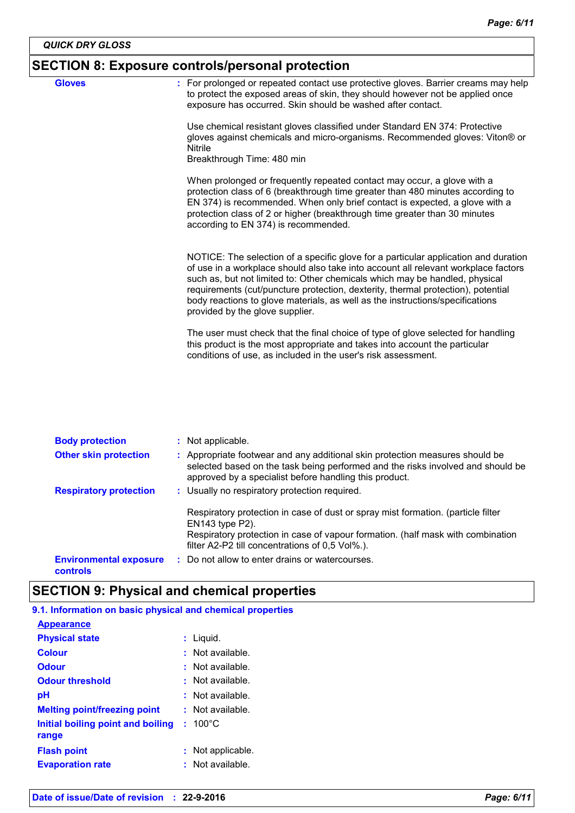# $|\mathsf{SECTION\ 8}\colon \mathsf{Exposure\ controls/personal\ protection}$

| <b>Gloves</b> | : For prolonged or repeated contact use protective gloves. Barrier creams may help<br>to protect the exposed areas of skin, they should however not be applied once<br>exposure has occurred. Skin should be washed after contact.                                                                                                                                                                                                                               |
|---------------|------------------------------------------------------------------------------------------------------------------------------------------------------------------------------------------------------------------------------------------------------------------------------------------------------------------------------------------------------------------------------------------------------------------------------------------------------------------|
|               | Use chemical resistant gloves classified under Standard EN 374: Protective<br>gloves against chemicals and micro-organisms. Recommended gloves: Viton® or<br>Nitrile<br>Breakthrough Time: 480 min                                                                                                                                                                                                                                                               |
|               | When prolonged or frequently repeated contact may occur, a glove with a<br>protection class of 6 (breakthrough time greater than 480 minutes according to<br>EN 374) is recommended. When only brief contact is expected, a glove with a<br>protection class of 2 or higher (breakthrough time greater than 30 minutes<br>according to EN 374) is recommended.                                                                                                   |
|               | NOTICE: The selection of a specific glove for a particular application and duration<br>of use in a workplace should also take into account all relevant workplace factors<br>such as, but not limited to: Other chemicals which may be handled, physical<br>requirements (cut/puncture protection, dexterity, thermal protection), potential<br>body reactions to glove materials, as well as the instructions/specifications<br>provided by the glove supplier. |
|               | The user must check that the final choice of type of glove selected for handling<br>this product is the most appropriate and takes into account the particular<br>conditions of use, as included in the user's risk assessment.                                                                                                                                                                                                                                  |

| <b>Body protection</b>                           | : Not applicable.                                                                                                                                                                                                         |
|--------------------------------------------------|---------------------------------------------------------------------------------------------------------------------------------------------------------------------------------------------------------------------------|
| <b>Other skin protection</b>                     | : Appropriate footwear and any additional skin protection measures should be<br>selected based on the task being performed and the risks involved and should be<br>approved by a specialist before handling this product. |
| <b>Respiratory protection</b>                    | : Usually no respiratory protection required.                                                                                                                                                                             |
|                                                  | Respiratory protection in case of dust or spray mist formation. (particle filter<br>$EN143$ type $P2$ ).                                                                                                                  |
|                                                  | Respiratory protection in case of vapour formation. (half mask with combination<br>filter A2-P2 till concentrations of 0.5 Vol%.).                                                                                        |
| <b>Environmental exposure</b><br><b>controls</b> | : Do not allow to enter drains or watercourses.                                                                                                                                                                           |

# **SECTION 9: Physical and chemical properties**

#### 9.1. Information on basic physical and chemical properties

| <b>Appearance</b>                          |                      |
|--------------------------------------------|----------------------|
| <b>Physical state</b>                      | : Liquid.            |
| <b>Colour</b>                              | $:$ Not available.   |
| <b>Odour</b>                               | : Not available.     |
| <b>Odour threshold</b>                     | $\pm$ Not available. |
| рH                                         | $:$ Not available.   |
| <b>Melting point/freezing point</b>        | $:$ Not available.   |
| Initial boiling point and boiling<br>range | $: 100^{\circ}$ C    |
| <b>Flash point</b>                         | Not applicable.      |
| <b>Evaporation rate</b>                    | $:$ Not available.   |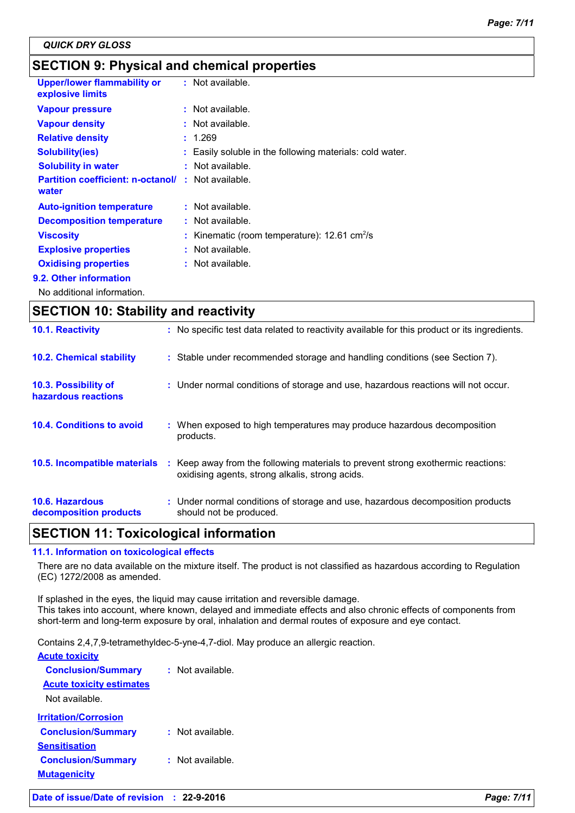# **SECTION 9: Physical and chemical properties**

| <b>Upper/lower flammability or</b><br>explosive limits | $:$ Not available.                                            |
|--------------------------------------------------------|---------------------------------------------------------------|
| <b>Vapour pressure</b>                                 | $:$ Not available.                                            |
| <b>Vapour density</b>                                  | : Not available.                                              |
| <b>Relative density</b>                                | : 1.269                                                       |
| <b>Solubility(ies)</b>                                 | : Easily soluble in the following materials: cold water.      |
| <b>Solubility in water</b>                             | $:$ Not available.                                            |
| <b>Partition coefficient: n-octanol/</b><br>water      | : Not available.                                              |
| <b>Auto-ignition temperature</b>                       | : Not available.                                              |
| <b>Decomposition temperature</b>                       | : Not available.                                              |
| <b>Viscosity</b>                                       | : Kinematic (room temperature): $12.61 \text{ cm}^2/\text{s}$ |
| <b>Explosive properties</b>                            | : Not available.                                              |
| <b>Oxidising properties</b>                            | $:$ Not available.                                            |
| 9.2. Other information                                 |                                                               |
|                                                        |                                                               |

No additional information.

| <b>SECTION 10: Stability and reactivity</b> |  |                                                                                                                                     |  |
|---------------------------------------------|--|-------------------------------------------------------------------------------------------------------------------------------------|--|
| 10.1. Reactivity                            |  | : No specific test data related to reactivity available for this product or its ingredients.                                        |  |
| <b>10.2. Chemical stability</b>             |  | : Stable under recommended storage and handling conditions (see Section 7).                                                         |  |
| 10.3. Possibility of<br>hazardous reactions |  | : Under normal conditions of storage and use, hazardous reactions will not occur.                                                   |  |
| 10.4. Conditions to avoid                   |  | : When exposed to high temperatures may produce hazardous decomposition<br>products.                                                |  |
| 10.5. Incompatible materials                |  | : Keep away from the following materials to prevent strong exothermic reactions:<br>oxidising agents, strong alkalis, strong acids. |  |
| 10.6. Hazardous<br>decomposition products   |  | : Under normal conditions of storage and use, hazardous decomposition products<br>should not be produced.                           |  |

# **SECTION 11: Toxicological information**

#### 11.1. Information on toxicological effects

There are no data available on the mixture itself. The product is not classified as hazardous according to Regulation (EC) 1272/2008 as amended.

If splashed in the eyes, the liquid may cause irritation and reversible damage. This takes into account, where known, delayed and immediate effects and also chronic effects of components from short-term and long-term exposure by oral, inhalation and dermal routes of exposure and eye contact.

Contains 2,4,7,9-tetramethyldec-5-yne-4,7-diol. May produce an allergic reaction.

| <b>Acute toxicity</b>              |                  |
|------------------------------------|------------------|
| <b>Conclusion/Summary</b>          | Not available.   |
| <b>Acute toxicity estimates</b>    |                  |
| Not available.                     |                  |
| <u><b>Irritation/Corrosion</b></u> |                  |
| <b>Conclusion/Summary</b>          | : Not available. |
| <b>Sensitisation</b>               |                  |
| <b>Conclusion/Summary</b>          | : Not available. |
| <b>Mutagenicity</b>                |                  |
|                                    |                  |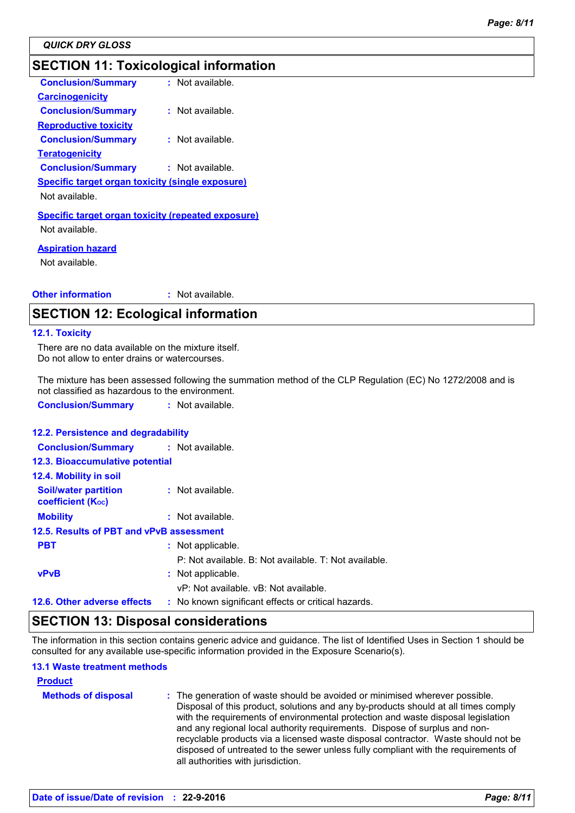# **SECTION 11: Toxicological information**

| <b>Conclusion/Summary</b>                                 | : Not available.   |
|-----------------------------------------------------------|--------------------|
| <b>Carcinogenicity</b>                                    |                    |
| <b>Conclusion/Summary</b>                                 | Not available.     |
|                                                           |                    |
| <b>Reproductive toxicity</b>                              |                    |
| <b>Conclusion/Summary</b>                                 | $:$ Not available. |
| <b>Teratogenicity</b>                                     |                    |
| <b>Conclusion/Summary</b>                                 | : Not available.   |
| <b>Specific target organ toxicity (single exposure)</b>   |                    |
| Not available.                                            |                    |
| <b>Specific target organ toxicity (repeated exposure)</b> |                    |
| Not available.                                            |                    |
|                                                           |                    |
| <b>Aspiration hazard</b>                                  |                    |
| Not available.                                            |                    |
|                                                           |                    |

#### **Other information** : Not available.

# **SECTION 12: Ecological information**

#### 12.1. Toxicity

There are no data available on the mixture itself. Do not allow to enter drains or watercourses.

The mixture has been assessed following the summation method of the CLP Regulation (EC) No 1272/2008 and is not classified as hazardous to the environment.

**Conclusion/Summary** : Not available.

#### 12.2. Persistence and degradability

| <b>Conclusion/Summary</b>                               | : Not available.                                      |  |  |
|---------------------------------------------------------|-------------------------------------------------------|--|--|
| 12.3. Bioaccumulative potential                         |                                                       |  |  |
| 12.4. Mobility in soil                                  |                                                       |  |  |
| <b>Soil/water partition</b><br><b>coefficient (Koc)</b> | : Not available.                                      |  |  |
| <b>Mobility</b>                                         | $:$ Not available.                                    |  |  |
| 12.5. Results of PBT and vPvB assessment                |                                                       |  |  |
| <b>PBT</b>                                              | : Not applicable.                                     |  |  |
|                                                         | P: Not available. B: Not available. T: Not available. |  |  |
| <b>vPvB</b>                                             | : Not applicable.                                     |  |  |
|                                                         | vP: Not available, vB: Not available.                 |  |  |
| 12.6. Other adverse effects                             | : No known significant effects or critical hazards.   |  |  |

### **SECTION 13: Disposal considerations**

The information in this section contains generic advice and guidance. The list of Identified Uses in Section 1 should be consulted for any available use-specific information provided in the Exposure Scenario(s).

#### **13.1 Waste treatment methods**

| <b>Product</b>             |                                                                                                                                                                                                                                                                                                                                                                                                                                                                                                                                                      |
|----------------------------|------------------------------------------------------------------------------------------------------------------------------------------------------------------------------------------------------------------------------------------------------------------------------------------------------------------------------------------------------------------------------------------------------------------------------------------------------------------------------------------------------------------------------------------------------|
| <b>Methods of disposal</b> | : The generation of waste should be avoided or minimised wherever possible.<br>Disposal of this product, solutions and any by-products should at all times comply<br>with the requirements of environmental protection and waste disposal legislation<br>and any regional local authority requirements. Dispose of surplus and non-<br>recyclable products via a licensed waste disposal contractor. Waste should not be<br>disposed of untreated to the sewer unless fully compliant with the requirements of<br>all authorities with jurisdiction. |
|                            |                                                                                                                                                                                                                                                                                                                                                                                                                                                                                                                                                      |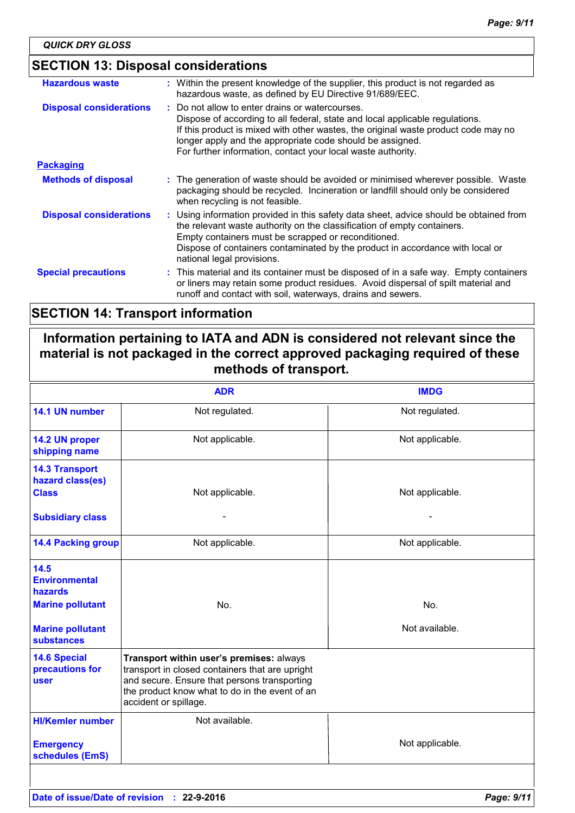# **SECTION 13: Disposal considerations**

| <b>Hazardous waste</b>         | : Within the present knowledge of the supplier, this product is not regarded as<br>hazardous waste, as defined by EU Directive 91/689/EEC.                                                                                                                                                                                                         |
|--------------------------------|----------------------------------------------------------------------------------------------------------------------------------------------------------------------------------------------------------------------------------------------------------------------------------------------------------------------------------------------------|
| <b>Disposal considerations</b> | : Do not allow to enter drains or watercourses.<br>Dispose of according to all federal, state and local applicable regulations.<br>If this product is mixed with other wastes, the original waste product code may no<br>longer apply and the appropriate code should be assigned.<br>For further information, contact your local waste authority. |
| <b>Packaging</b>               |                                                                                                                                                                                                                                                                                                                                                    |
| <b>Methods of disposal</b>     | : The generation of waste should be avoided or minimised wherever possible. Waste<br>packaging should be recycled. Incineration or landfill should only be considered<br>when recycling is not feasible.                                                                                                                                           |
| <b>Disposal considerations</b> | : Using information provided in this safety data sheet, advice should be obtained from<br>the relevant waste authority on the classification of empty containers.<br>Empty containers must be scrapped or reconditioned.<br>Dispose of containers contaminated by the product in accordance with local or<br>national legal provisions.            |
| <b>Special precautions</b>     | : This material and its container must be disposed of in a safe way. Empty containers<br>or liners may retain some product residues. Avoid dispersal of spilt material and<br>runoff and contact with soil, waterways, drains and sewers.                                                                                                          |

# **SECTION 14: Transport information**

# Information pertaining to IATA and ADN is considered not relevant since the material is not packaged in the correct approved packaging required of these methods of transport.

|                                                                                                                    | <b>ADR</b>                                                                                                                                                                                                             | <b>IMDG</b>           |
|--------------------------------------------------------------------------------------------------------------------|------------------------------------------------------------------------------------------------------------------------------------------------------------------------------------------------------------------------|-----------------------|
| 14.1 UN number                                                                                                     | Not regulated.                                                                                                                                                                                                         | Not regulated.        |
| 14.2 UN proper<br>shipping name                                                                                    | Not applicable.                                                                                                                                                                                                        | Not applicable.       |
| <b>14.3 Transport</b><br>hazard class(es)<br><b>Class</b><br><b>Subsidiary class</b>                               | Not applicable.                                                                                                                                                                                                        | Not applicable.       |
| <b>14.4 Packing group</b>                                                                                          | Not applicable.                                                                                                                                                                                                        | Not applicable.       |
| 14.5<br><b>Environmental</b><br>hazards<br><b>Marine pollutant</b><br><b>Marine pollutant</b><br><b>substances</b> | No.                                                                                                                                                                                                                    | No.<br>Not available. |
| <b>14.6 Special</b><br>precautions for<br>user                                                                     | Transport within user's premises: always<br>transport in closed containers that are upright<br>and secure. Ensure that persons transporting<br>the product know what to do in the event of an<br>accident or spillage. |                       |
| <b>HI/Kemler number</b>                                                                                            | Not available.                                                                                                                                                                                                         |                       |
| <b>Emergency</b><br>schedules (EmS)                                                                                |                                                                                                                                                                                                                        | Not applicable.       |
|                                                                                                                    |                                                                                                                                                                                                                        |                       |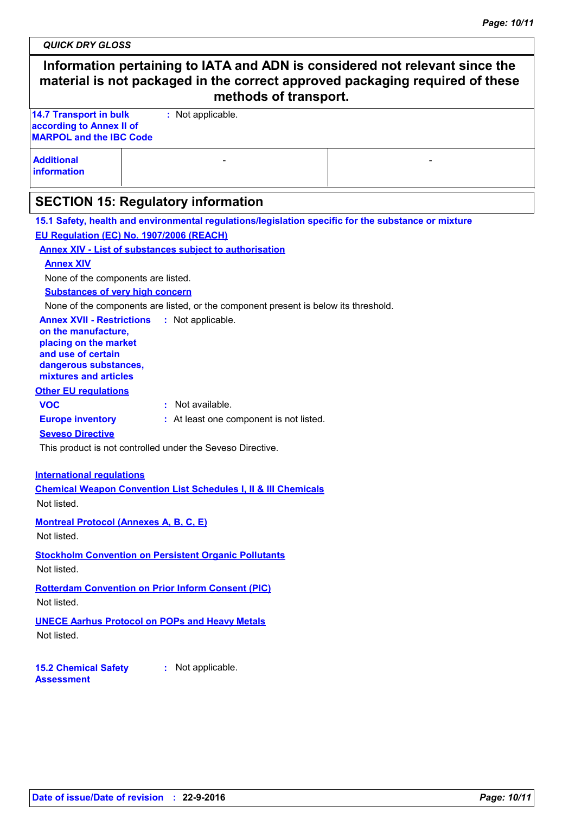**QUICK DRY GLOSS** 

|                                                                                                                                                                                                                                                                                                          | Information pertaining to IATA and ADN is considered not relevant since the<br>material is not packaged in the correct approved packaging required of these<br>methods of transport.                                                                                              |  |
|----------------------------------------------------------------------------------------------------------------------------------------------------------------------------------------------------------------------------------------------------------------------------------------------------------|-----------------------------------------------------------------------------------------------------------------------------------------------------------------------------------------------------------------------------------------------------------------------------------|--|
| <b>14.7 Transport in bulk</b><br>according to Annex II of<br><b>MARPOL and the IBC Code</b>                                                                                                                                                                                                              | : Not applicable.                                                                                                                                                                                                                                                                 |  |
| <b>Additional</b><br><b>information</b>                                                                                                                                                                                                                                                                  |                                                                                                                                                                                                                                                                                   |  |
|                                                                                                                                                                                                                                                                                                          | <b>SECTION 15: Regulatory information</b>                                                                                                                                                                                                                                         |  |
| EU Regulation (EC) No. 1907/2006 (REACH)<br><b>Annex XIV</b><br>None of the components are listed.<br><b>Substances of very high concern</b><br><b>Annex XVII - Restrictions</b><br>on the manufacture,<br>placing on the market<br>and use of certain<br>dangerous substances,<br>mixtures and articles | 15.1 Safety, health and environmental regulations/legislation specific for the substance or mixture<br><b>Annex XIV - List of substances subject to authorisation</b><br>None of the components are listed, or the component present is below its threshold.<br>: Not applicable. |  |
| <b>Other EU regulations</b><br><b>VOC</b><br><b>Europe inventory</b><br><b>Seveso Directive</b>                                                                                                                                                                                                          | : Not available.<br>: At least one component is not listed.<br>This product is not controlled under the Seveso Directive.                                                                                                                                                         |  |
| <b>International regulations</b><br>Not listed.<br><b>Montreal Protocol (Annexes A, B, C, E)</b>                                                                                                                                                                                                         | <b>Chemical Weapon Convention List Schedules I, II &amp; III Chemicals</b>                                                                                                                                                                                                        |  |

Not listed.

#### **Stockholm Convention on Persistent Organic Pollutants**

Not listed.

#### **Rotterdam Convention on Prior Inform Consent (PIC)** Not listed.

# **UNECE Aarhus Protocol on POPs and Heavy Metals**

Not listed.

#### 15.2 Chemical Safety : Not applicable. **Assessment**